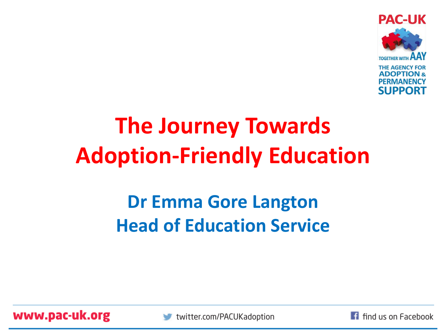

### **The Journey Towards Adoption-Friendly Education**

#### **Dr Emma Gore Langton Head of Education Service**

www.pac-uk.org



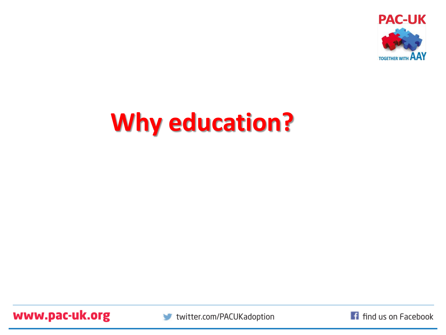

### **Why education?**

www.pac-uk.org



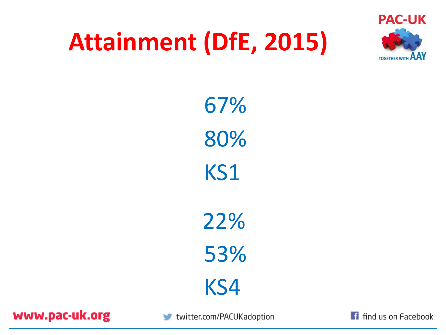### **Attainment (DfE, 2015)**



67% 80% KS1 22% 53% KS4

www.pac-uk.org

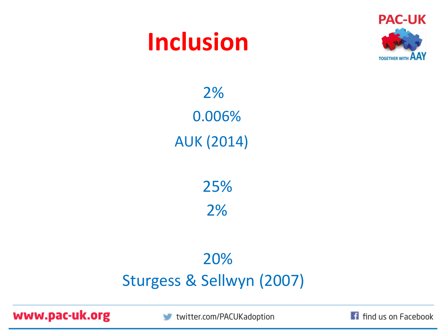### **Inclusion**



2% 0.006% AUK (2014)

25%

2%

#### 20% Sturgess & Sellwyn (2007)

www.pac-uk.org

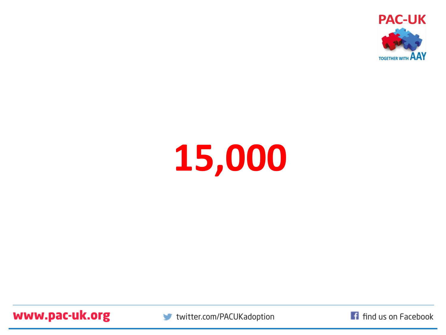

# **15,000**

www.pac-uk.org



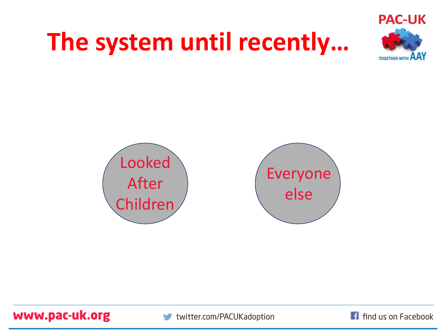# **The system until recently…**





www.pac-uk.org

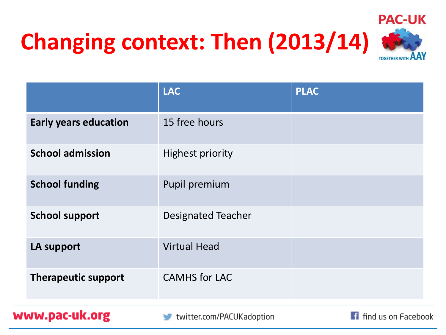### **Changing context: Then (2013/14)**



|                              | <b>LAC</b>                | <b>PLAC</b> |
|------------------------------|---------------------------|-------------|
| <b>Early years education</b> | 15 free hours             |             |
| <b>School admission</b>      | <b>Highest priority</b>   |             |
| <b>School funding</b>        | Pupil premium             |             |
| <b>School support</b>        | <b>Designated Teacher</b> |             |
| <b>LA support</b>            | <b>Virtual Head</b>       |             |
| <b>Therapeutic support</b>   | <b>CAMHS</b> for LAC      |             |

www.pac-uk.org

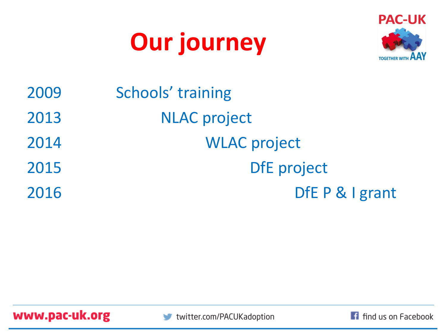### **Our journey**



| 2009 | Schools' training   |
|------|---------------------|
| 2013 | <b>NLAC</b> project |
| 2014 | <b>WLAC</b> project |
| 2015 | <b>DfE</b> project  |
| 2016 | DfE P & I grant     |





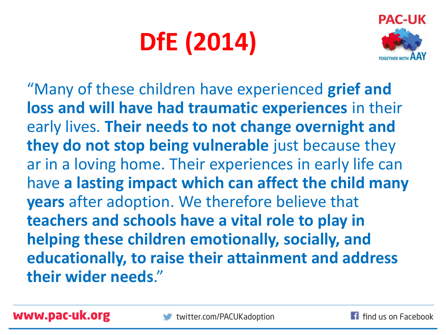# **DfE (2014)**



"Many of these children have experienced **grief and loss and will have had traumatic experiences** in their early lives. **Their needs to not change overnight and they do not stop being vulnerable** just because they ar in a loving home. Their experiences in early life can have **a lasting impact which can affect the child many years** after adoption. We therefore believe that **teachers and schools have a vital role to play in helping these children emotionally, socially, and educationally, to raise their attainment and address their wider needs**."

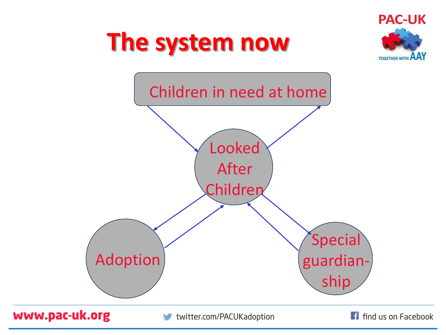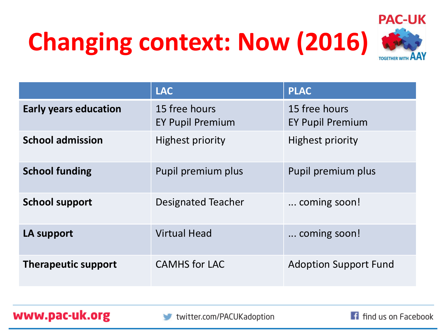# **Changing context: Now (2016)**



|                              | <b>LAC</b>                               | <b>PLAC</b>                              |
|------------------------------|------------------------------------------|------------------------------------------|
| <b>Early years education</b> | 15 free hours<br><b>EY Pupil Premium</b> | 15 free hours<br><b>EY Pupil Premium</b> |
| <b>School admission</b>      | <b>Highest priority</b>                  | <b>Highest priority</b>                  |
| <b>School funding</b>        | Pupil premium plus                       | Pupil premium plus                       |
| <b>School support</b>        | <b>Designated Teacher</b>                | coming soon!                             |
| LA support                   | <b>Virtual Head</b>                      | coming soon!                             |
| <b>Therapeutic support</b>   | <b>CAMHS</b> for LAC                     | <b>Adoption Support Fund</b>             |

www.pac-uk.org

f find us on Facebook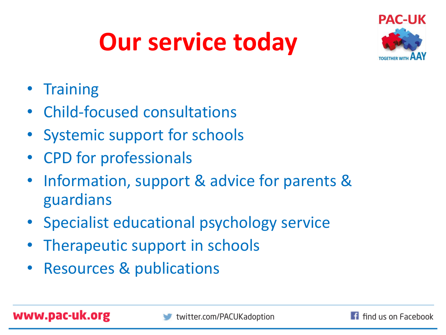### **Our service today**



- Training
- Child-focused consultations
- Systemic support for schools
- CPD for professionals
- Information, support & advice for parents & guardians
- Specialist educational psychology service
- Therapeutic support in schools
- Resources & publications

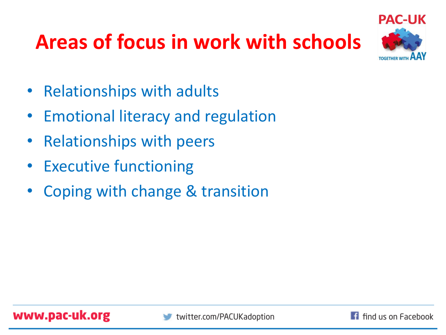### **Areas of focus in work with schools**



- Relationships with adults
- Emotional literacy and regulation
- Relationships with peers
- Executive functioning
- Coping with change & transition

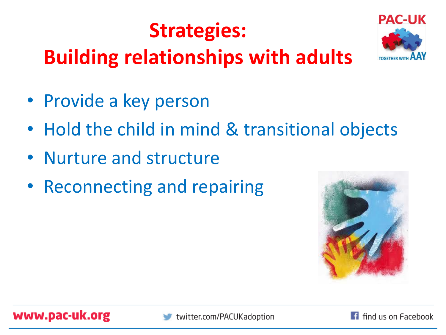### **Strategies:**





- Provide a key person
- Hold the child in mind & transitional objects
- Nurture and structure
- Reconnecting and repairing





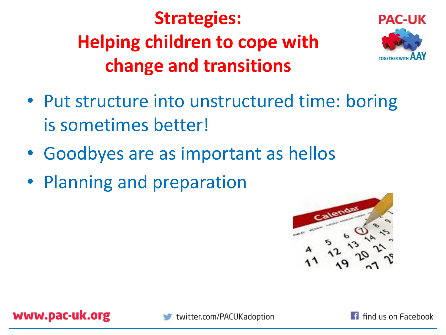#### **Strategies: Helping children to cope with change and transitions**



- Put structure into unstructured time: boring is sometimes better!
- Goodbyes are as important as hellos
- Planning and preparation



www.pac-uk.org

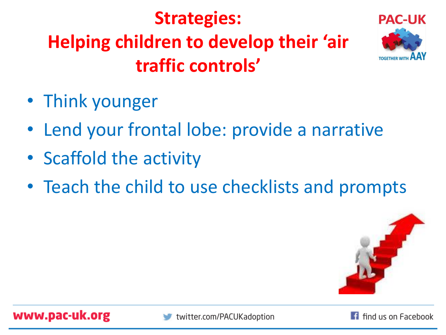#### **Strategies: Helping children to develop their 'air traffic controls'**



- Think younger
- Lend your frontal lobe: provide a narrative
- Scaffold the activity
- Teach the child to use checklists and prompts



www.pac-uk.org

twitter.com/PACUKadoption

**1** find us on Facebook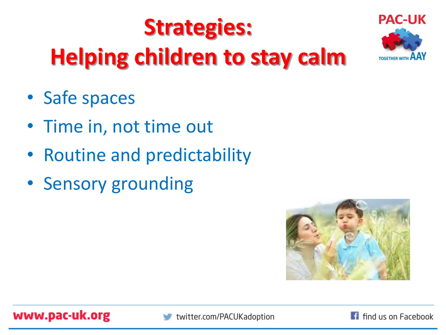### **Strategies: Helping children to stay calm**



- Safe spaces
- Time in, not time out
- Routine and predictability
- Sensory grounding





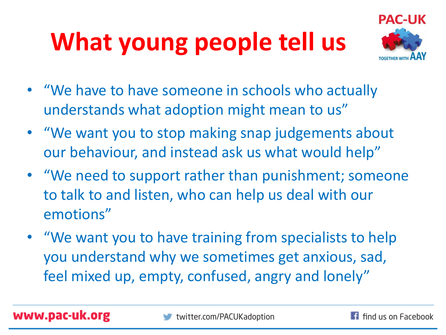# **What young people tell us**



- "We have to have someone in schools who actually understands what adoption might mean to us"
- "We want you to stop making snap judgements about our behaviour, and instead ask us what would help"
- "We need to support rather than punishment; someone to talk to and listen, who can help us deal with our emotions"
- "We want you to have training from specialists to help you understand why we sometimes get anxious, sad, feel mixed up, empty, confused, angry and lonely"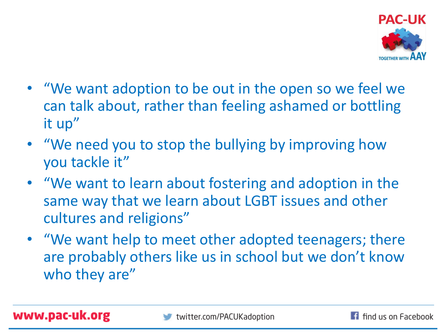

- "We want adoption to be out in the open so we feel we can talk about, rather than feeling ashamed or bottling it up"
- "We need you to stop the bullying by improving how you tackle it"
- "We want to learn about fostering and adoption in the same way that we learn about LGBT issues and other cultures and religions"
- "We want help to meet other adopted teenagers; there are probably others like us in school but we don't know who they are"

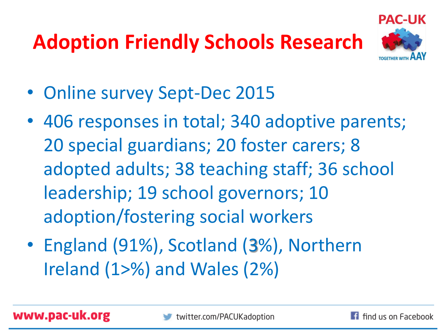### **Adoption Friendly Schools Research**



- Online survey Sept-Dec 2015
- 406 responses in total; 340 adoptive parents; 20 special guardians; 20 foster carers; 8 adopted adults; 38 teaching staff; 36 school leadership; 19 school governors; 10 adoption/fostering social workers
- England (91%), Scotland (3%), Northern Ireland (1>%) and Wales (2%)

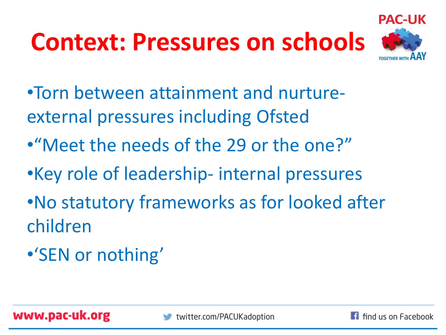# **Context: Pressures on schools**



- •Torn between attainment and nurtureexternal pressures including Ofsted
- •"Meet the needs of the 29 or the one?"
- •Key role of leadership- internal pressures
- •No statutory frameworks as for looked after children
- •'SEN or nothing'

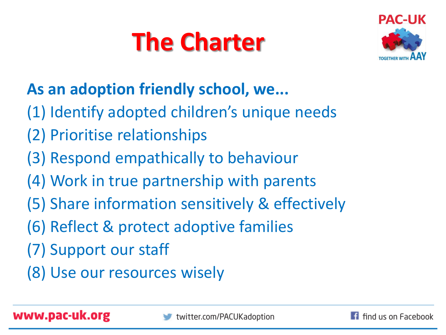# **The Charter**



#### **As an adoption friendly school, we...**

- (1) Identify adopted children's unique needs
- (2) Prioritise relationships
- (3) Respond empathically to behaviour
- (4) Work in true partnership with parents
- (5) Share information sensitively & effectively
- (6) Reflect & protect adoptive families
- (7) Support our staff
- (8) Use our resources wisely

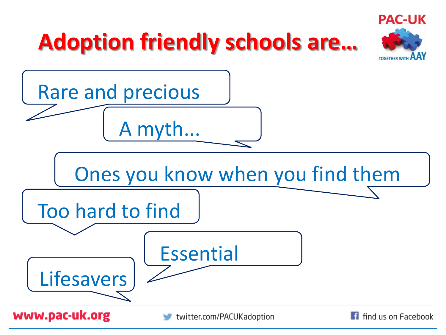